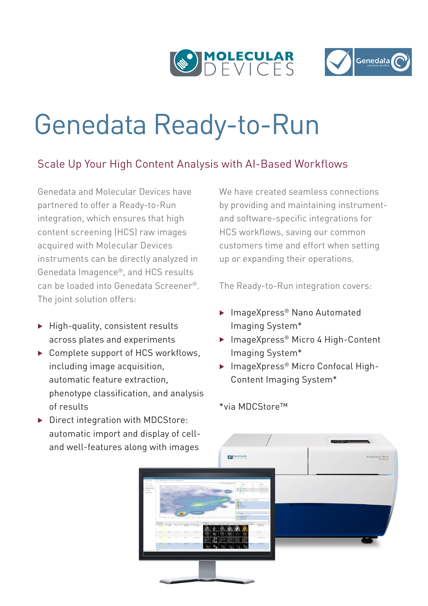



# Genedata Ready-to-Run

# Scale Up Your High Content Analysis with AI-Based Workflows

Genedata and Molecular Devices have partnered to offer a Ready-to-Run integration, which ensures that high content screening (HCS) raw images acquired with Molecular Devices instruments can be directly analyzed in Genedata Imagence®, and HCS results can be loaded into Genedata Screener®. The joint solution offers:

- $\blacktriangleright$  High-quality, consistent results across plates and experiments
- $\triangleright$  Complete support of HCS workflows, including image acquisition, automatic feature extraction, phenotype classification, and analysis of results
- $\triangleright$  Direct integration with MDCStore: automatic import and display of cell-

We have created seamless connections by providing and maintaining instrumentand software-specific integrations for HCS workflows, saving our common customers time and effort when setting up or expanding their operations.

The Ready-to-Run integration covers:

- ▶ ImageXpress<sup>®</sup> Nano Automated Imaging System\*
- ▶ ImageXpress® Micro 4 High-Content Imaging System\*
- ▶ ImageXpress® Micro Confocal High-Content Imaging System\*

#### \*via MDCStore™